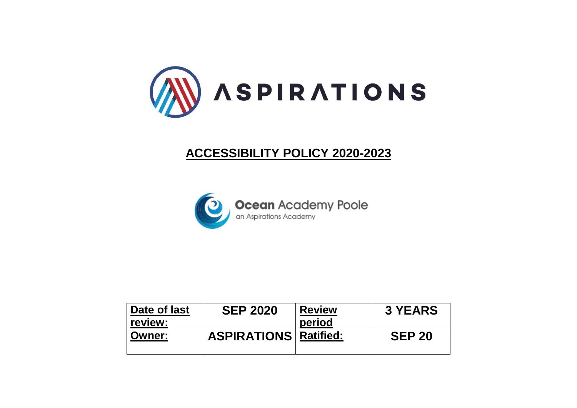

# **ACCESSIBILITY POLICY 2020-2023**



| Date of last  | <b>SEP 2020</b>              | <b>Review</b> | <b>3 YEARS</b> |
|---------------|------------------------------|---------------|----------------|
| ∣ review:     |                              | period        |                |
| <b>Owner:</b> | <b>ASPIRATIONS Ratified:</b> |               | <b>SEP 20</b>  |
|               |                              |               |                |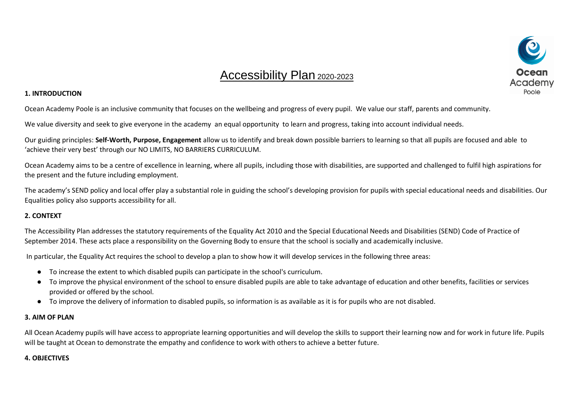## Accessibility Plan 2020-2023

### **1. INTRODUCTION**

Ocean Academy Poole is an inclusive community that focuses on the wellbeing and progress of every pupil. We value our staff, parents and community.

We value diversity and seek to give everyone in the academy an equal opportunity to learn and progress, taking into account individual needs.

Our guiding principles: **Self-Worth, Purpose, Engagement** allow us to identify and break down possible barriers to learning so that all pupils are focused and able to 'achieve their very best' through our NO LIMITS, NO BARRIERS CURRICULUM.

Ocean Academy aims to be a centre of excellence in learning, where all pupils, including those with disabilities, are supported and challenged to fulfil high aspirations for the present and the future including employment.

The academy's SEND policy and local offer play a substantial role in guiding the school's developing provision for pupils with special educational needs and disabilities. Our Equalities policy also supports accessibility for all.

## **2. CONTEXT**

The Accessibility Plan addresses the statutory requirements of the Equality Act 2010 and the Special Educational Needs and Disabilities (SEND) Code of Practice of September 2014. These acts place a responsibility on the Governing Body to ensure that the school is socially and academically inclusive.

In particular, the Equality Act requires the school to develop a plan to show how it will develop services in the following three areas:

- To increase the extent to which disabled pupils can participate in the school's curriculum.
- To improve the physical environment of the school to ensure disabled pupils are able to take advantage of education and other benefits, facilities or services provided or offered by the school.
- To improve the delivery of information to disabled pupils, so information is as available as it is for pupils who are not disabled.

#### **3. AIM OF PLAN**

All Ocean Academy pupils will have access to appropriate learning opportunities and will develop the skills to support their learning now and for work in future life. Pupils will be taught at Ocean to demonstrate the empathy and confidence to work with others to achieve a better future.

## **4. OBJECTIVES**

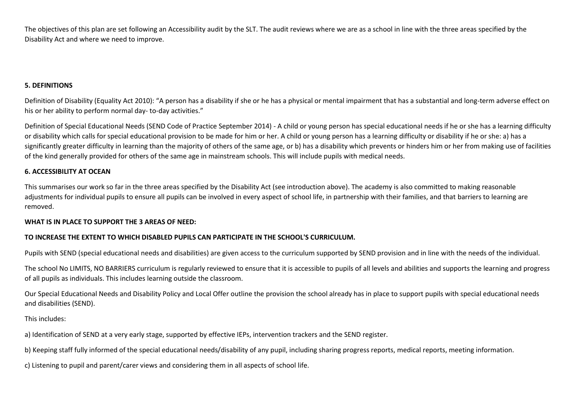The objectives of this plan are set following an Accessibility audit by the SLT. The audit reviews where we are as a school in line with the three areas specified by the Disability Act and where we need to improve.

#### **5. DEFINITIONS**

Definition of Disability (Equality Act 2010): "A person has a disability if she or he has a physical or mental impairment that has a substantial and long-term adverse effect on his or her ability to perform normal day- to-day activities."

Definition of Special Educational Needs (SEND Code of Practice September 2014) - A child or young person has special educational needs if he or she has a learning difficulty or disability which calls for special educational provision to be made for him or her. A child or young person has a learning difficulty or disability if he or she: a) has a significantly greater difficulty in learning than the majority of others of the same age, or b) has a disability which prevents or hinders him or her from making use of facilities of the kind generally provided for others of the same age in mainstream schools. This will include pupils with medical needs.

## **6. ACCESSIBILITY AT OCEAN**

This summarises our work so far in the three areas specified by the Disability Act (see introduction above). The academy is also committed to making reasonable adjustments for individual pupils to ensure all pupils can be involved in every aspect of school life, in partnership with their families, and that barriers to learning are removed.

#### **WHAT IS IN PLACE TO SUPPORT THE 3 AREAS OF NEED:**

#### **TO INCREASE THE EXTENT TO WHICH DISABLED PUPILS CAN PARTICIPATE IN THE SCHOOL'S CURRICULUM.**

Pupils with SEND (special educational needs and disabilities) are given access to the curriculum supported by SEND provision and in line with the needs of the individual.

The school No LIMITS, NO BARRIERS curriculum is regularly reviewed to ensure that it is accessible to pupils of all levels and abilities and supports the learning and progress of all pupils as individuals. This includes learning outside the classroom.

Our Special Educational Needs and Disability Policy and Local Offer outline the provision the school already has in place to support pupils with special educational needs and disabilities (SEND).

This includes:

a) Identification of SEND at a very early stage, supported by effective IEPs, intervention trackers and the SEND register.

b) Keeping staff fully informed of the special educational needs/disability of any pupil, including sharing progress reports, medical reports, meeting information.

c) Listening to pupil and parent/carer views and considering them in all aspects of school life.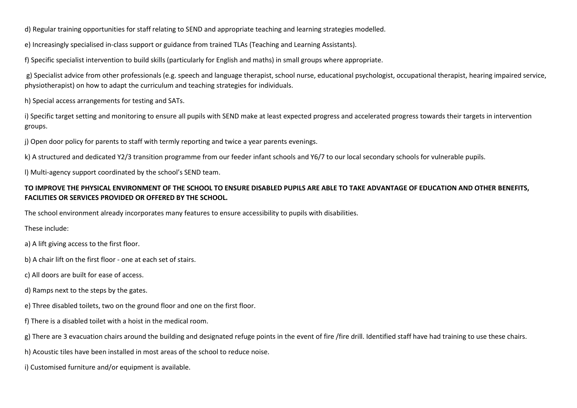d) Regular training opportunities for staff relating to SEND and appropriate teaching and learning strategies modelled.

e) Increasingly specialised in-class support or guidance from trained TLAs (Teaching and Learning Assistants).

f) Specific specialist intervention to build skills (particularly for English and maths) in small groups where appropriate.

g) Specialist advice from other professionals (e.g. speech and language therapist, school nurse, educational psychologist, occupational therapist, hearing impaired service, physiotherapist) on how to adapt the curriculum and teaching strategies for individuals.

h) Special access arrangements for testing and SATs.

i) Specific target setting and monitoring to ensure all pupils with SEND make at least expected progress and accelerated progress towards their targets in intervention groups.

j) Open door policy for parents to staff with termly reporting and twice a year parents evenings.

k) A structured and dedicated Y2/3 transition programme from our feeder infant schools and Y6/7 to our local secondary schools for vulnerable pupils.

l) Multi-agency support coordinated by the school's SEND team.

## **TO IMPROVE THE PHYSICAL ENVIRONMENT OF THE SCHOOL TO ENSURE DISABLED PUPILS ARE ABLE TO TAKE ADVANTAGE OF EDUCATION AND OTHER BENEFITS, FACILITIES OR SERVICES PROVIDED OR OFFERED BY THE SCHOOL.**

The school environment already incorporates many features to ensure accessibility to pupils with disabilities.

These include:

a) A lift giving access to the first floor.

b) A chair lift on the first floor - one at each set of stairs.

c) All doors are built for ease of access.

d) Ramps next to the steps by the gates.

e) Three disabled toilets, two on the ground floor and one on the first floor.

f) There is a disabled toilet with a hoist in the medical room.

g) There are 3 evacuation chairs around the building and designated refuge points in the event of fire /fire drill. Identified staff have had training to use these chairs.

h) Acoustic tiles have been installed in most areas of the school to reduce noise.

i) Customised furniture and/or equipment is available.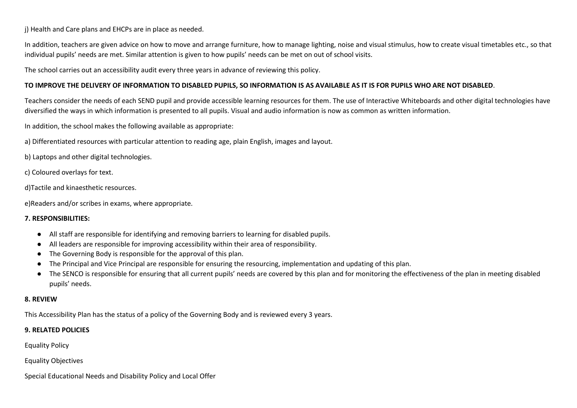j) Health and Care plans and EHCPs are in place as needed.

In addition, teachers are given advice on how to move and arrange furniture, how to manage lighting, noise and visual stimulus, how to create visual timetables etc., so that individual pupils' needs are met. Similar attention is given to how pupils' needs can be met on out of school visits.

The school carries out an accessibility audit every three years in advance of reviewing this policy.

## **TO IMPROVE THE DELIVERY OF INFORMATION TO DISABLED PUPILS, SO INFORMATION IS AS AVAILABLE AS IT IS FOR PUPILS WHO ARE NOT DISABLED**.

Teachers consider the needs of each SEND pupil and provide accessible learning resources for them. The use of Interactive Whiteboards and other digital technologies have diversified the ways in which information is presented to all pupils. Visual and audio information is now as common as written information.

In addition, the school makes the following available as appropriate:

a) Differentiated resources with particular attention to reading age, plain English, images and layout.

b) Laptops and other digital technologies.

c) Coloured overlays for text.

d)Tactile and kinaesthetic resources.

e)Readers and/or scribes in exams, where appropriate.

## **7. RESPONSIBILITIES:**

- All staff are responsible for identifying and removing barriers to learning for disabled pupils.
- All leaders are responsible for improving accessibility within their area of responsibility.
- The Governing Body is responsible for the approval of this plan.
- The Principal and Vice Principal are responsible for ensuring the resourcing, implementation and updating of this plan.
- The SENCO is responsible for ensuring that all current pupils' needs are covered by this plan and for monitoring the effectiveness of the plan in meeting disabled pupils' needs.

## **8. REVIEW**

This Accessibility Plan has the status of a policy of the Governing Body and is reviewed every 3 years.

## **9. RELATED POLICIES**

Equality Policy

Equality Objectives

Special Educational Needs and Disability Policy and Local Offer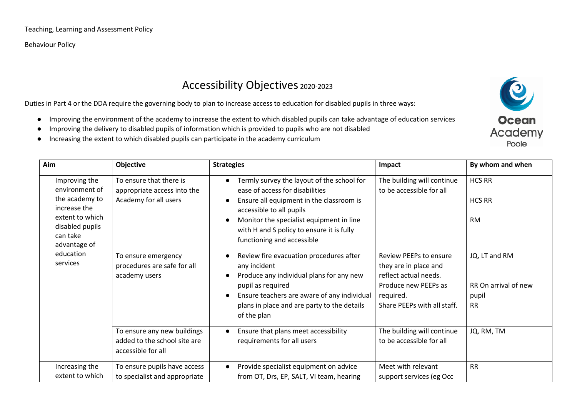Behaviour Policy

## Accessibility Objectives 2020-2023

Duties in Part 4 or the DDA require the governing body to plan to increase access to education for disabled pupils in three ways:

- Improving the environment of the academy to increase the extent to which disabled pupils can take advantage of education services
- Improving the delivery to disabled pupils of information which is provided to pupils who are not disabled
- Increasing the extent to which disabled pupils can participate in the academy curriculum



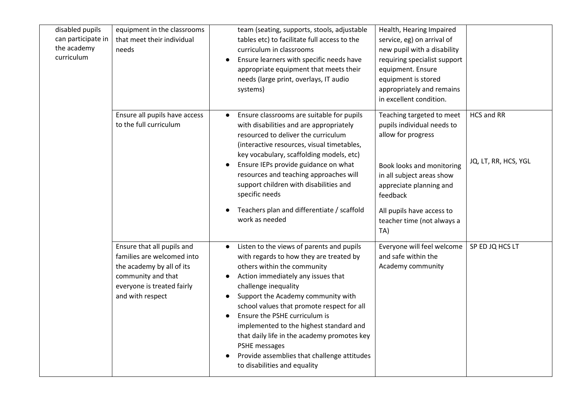| disabled pupils<br>can participate in<br>the academy<br>curriculum | equipment in the classrooms<br>that meet their individual<br>needs                                                                                            | team (seating, supports, stools, adjustable<br>tables etc) to facilitate full access to the<br>curriculum in classrooms<br>Ensure learners with specific needs have<br>$\bullet$<br>appropriate equipment that meets their<br>needs (large print, overlays, IT audio<br>systems)                                                                                                                                                                                                                                                                     | Health, Hearing Impaired<br>service, eg) on arrival of<br>new pupil with a disability<br>requiring specialist support<br>equipment. Ensure<br>equipment is stored<br>appropriately and remains<br>in excellent condition.                        |                                    |
|--------------------------------------------------------------------|---------------------------------------------------------------------------------------------------------------------------------------------------------------|------------------------------------------------------------------------------------------------------------------------------------------------------------------------------------------------------------------------------------------------------------------------------------------------------------------------------------------------------------------------------------------------------------------------------------------------------------------------------------------------------------------------------------------------------|--------------------------------------------------------------------------------------------------------------------------------------------------------------------------------------------------------------------------------------------------|------------------------------------|
|                                                                    | Ensure all pupils have access<br>to the full curriculum                                                                                                       | Ensure classrooms are suitable for pupils<br>with disabilities and are appropriately<br>resourced to deliver the curriculum<br>(interactive resources, visual timetables,<br>key vocabulary, scaffolding models, etc)<br>Ensure IEPs provide guidance on what<br>resources and teaching approaches will<br>support children with disabilities and<br>specific needs<br>Teachers plan and differentiate / scaffold<br>work as needed                                                                                                                  | Teaching targeted to meet<br>pupils individual needs to<br>allow for progress<br>Book looks and monitoring<br>in all subject areas show<br>appreciate planning and<br>feedback<br>All pupils have access to<br>teacher time (not always a<br>TA) | HCS and RR<br>JQ, LT, RR, HCS, YGL |
|                                                                    | Ensure that all pupils and<br>families are welcomed into<br>the academy by all of its<br>community and that<br>everyone is treated fairly<br>and with respect | Listen to the views of parents and pupils<br>$\bullet$<br>with regards to how they are treated by<br>others within the community<br>Action immediately any issues that<br>$\bullet$<br>challenge inequality<br>Support the Academy community with<br>$\bullet$<br>school values that promote respect for all<br>Ensure the PSHE curriculum is<br>implemented to the highest standard and<br>that daily life in the academy promotes key<br>PSHE messages<br>Provide assemblies that challenge attitudes<br>$\bullet$<br>to disabilities and equality | Everyone will feel welcome<br>and safe within the<br>Academy community                                                                                                                                                                           | SP ED JQ HCS LT                    |